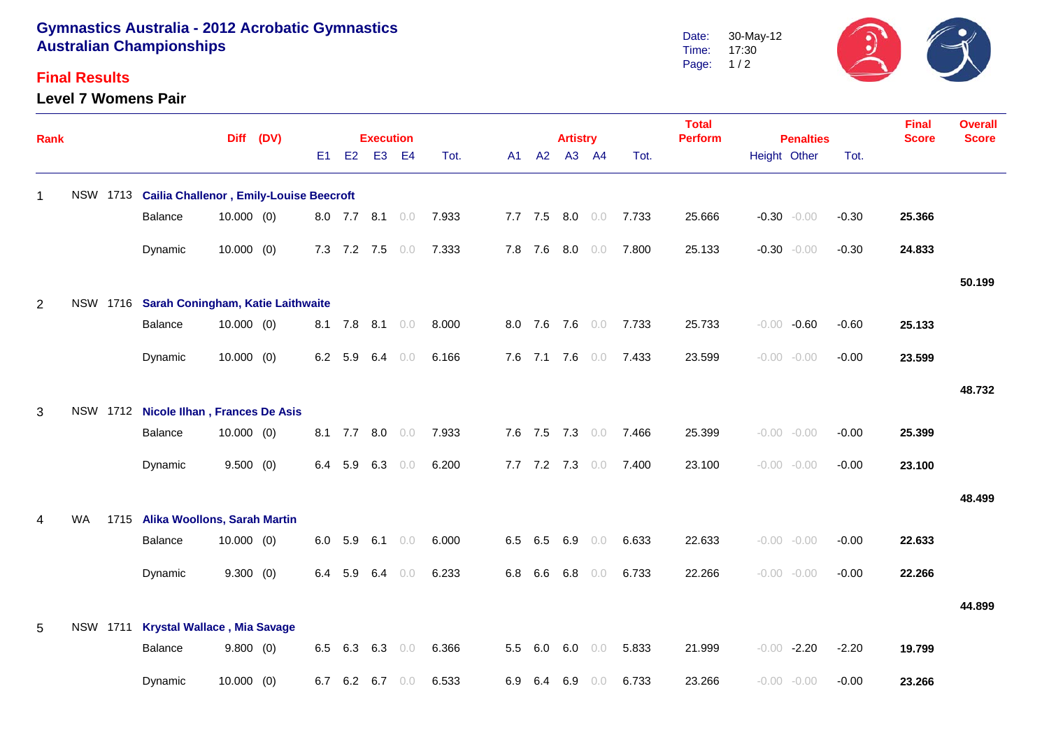## **Gymnastics Australia - 2012 Acrobatic Gymnastics Australian Championships**

## **Final Results**

**Level 7 Womens Pair**



| Rank           |           |          |                                                | Diff (DV)    |  |     | <b>Execution</b> |             |                 |       |     | <b>Artistry</b> |             |                 | <b>Total</b><br><b>Perform</b> | <b>Penalties</b> |  |                | <b>Final</b><br><b>Score</b> | <b>Overall</b><br><b>Score</b> |        |
|----------------|-----------|----------|------------------------------------------------|--------------|--|-----|------------------|-------------|-----------------|-------|-----|-----------------|-------------|-----------------|--------------------------------|------------------|--|----------------|------------------------------|--------------------------------|--------|
|                |           |          |                                                |              |  | E1  | E2               |             | E3 E4           | Tot.  |     |                 | A1 A2 A3 A4 |                 | Tot.                           |                  |  | Height Other   | Tot.                         |                                |        |
| $\overline{1}$ |           | NSW 1713 | <b>Cailia Challenor, Emily-Louise Beecroft</b> |              |  |     |                  |             |                 |       |     |                 |             |                 |                                |                  |  |                |                              |                                |        |
|                |           |          | Balance                                        | $10.000$ (0) |  |     |                  |             | 8.0 7.7 8.1 0.0 | 7.933 |     |                 | 7.7 7.5 8.0 | 0.0             | 7.733                          | 25.666           |  | $-0.30 - 0.00$ | $-0.30$                      | 25.366                         |        |
|                |           |          | Dynamic                                        | $10.000$ (0) |  |     |                  | 7.3 7.2 7.5 | 0.0             | 7.333 |     | 7.8 7.6         |             | $8.0\quad 0.0$  | 7.800                          | 25.133           |  | $-0.30 - 0.00$ | $-0.30$                      | 24.833                         |        |
|                |           |          |                                                |              |  |     |                  |             |                 |       |     |                 |             |                 |                                |                  |  |                |                              |                                | 50.199 |
| 2              |           |          | NSW 1716 Sarah Coningham, Katie Laithwaite     |              |  |     |                  |             |                 |       |     |                 |             |                 |                                |                  |  |                |                              |                                |        |
|                |           |          | Balance                                        | $10.000$ (0) |  |     |                  |             | 8.1 7.8 8.1 0.0 | 8.000 |     |                 |             | 8.0 7.6 7.6 0.0 | 7.733                          | 25.733           |  | $-0.00 - 0.60$ | $-0.60$                      | 25.133                         |        |
|                |           |          | Dynamic                                        | $10.000$ (0) |  |     | 6.2 5.9          | 6.4         | 0.0             | 6.166 |     |                 |             | 7.6 7.1 7.6 0.0 | 7.433                          | 23.599           |  | $-0.00 - 0.00$ | $-0.00$                      | 23.599                         |        |
|                |           |          |                                                |              |  |     |                  |             |                 |       |     |                 |             |                 |                                |                  |  |                |                              |                                | 48.732 |
| 3              |           |          | NSW 1712 Nicole Ilhan, Frances De Asis         |              |  |     |                  |             |                 |       |     |                 |             |                 |                                |                  |  |                |                              |                                |        |
|                |           |          | Balance                                        | $10.000$ (0) |  |     |                  | 8.1 7.7 8.0 | 0.0             | 7.933 |     |                 |             | 7.6 7.5 7.3 0.0 | 7.466                          | 25.399           |  | $-0.00 - 0.00$ | $-0.00$                      | 25.399                         |        |
|                |           |          | Dynamic                                        | 9.500(0)     |  | 6.4 | 5.9              | 6.3         | 0.0             | 6.200 |     |                 | 7.7 7.2 7.3 | 0.0             | 7.400                          | 23.100           |  | $-0.00 - 0.00$ | $-0.00$                      | 23.100                         |        |
|                |           |          |                                                |              |  |     |                  |             |                 |       |     |                 |             |                 |                                |                  |  |                |                              |                                | 48.499 |
| 4              | <b>WA</b> |          | 1715 Alika Woollons, Sarah Martin              |              |  |     |                  |             |                 |       |     |                 |             |                 |                                |                  |  |                |                              |                                |        |
|                |           |          | Balance                                        | $10.000$ (0) |  | 6.0 | 5.9              |             | 6.1 $0.0$       | 6.000 |     | 6.5 6.5         | 6.9         | 0.0             | 6.633                          | 22.633           |  | $-0.00 - 0.00$ | $-0.00$                      | 22.633                         |        |
|                |           |          | Dynamic                                        | 9.300(0)     |  |     | 6.4 5.9          | 6.4         | 0.0             | 6.233 |     | $6.8\quad 6.6$  | 6.8         | 0.0             | 6.733                          | 22.266           |  | $-0.00 - 0.00$ | $-0.00$                      | 22.266                         |        |
|                |           |          |                                                |              |  |     |                  |             |                 |       |     |                 |             |                 |                                |                  |  |                |                              |                                | 44.899 |
| 5              |           | NSW 1711 | <b>Krystal Wallace, Mia Savage</b>             |              |  |     |                  |             |                 |       |     |                 |             |                 |                                |                  |  |                |                              |                                |        |
|                |           |          | Balance                                        | 9.800(0)     |  | 6.5 | 6.3              | 6.3         | 0.0             | 6.366 |     | 5.5 6.0         | 6.0         | 0.0             | 5.833                          | 21.999           |  | $-0.00 -2.20$  | $-2.20$                      | 19.799                         |        |
|                |           |          | Dynamic                                        | $10.000$ (0) |  | 6.7 | 6.2              | 6.7         | 0.0             | 6.533 | 6.9 | 6.4             | 6.9         | 0.0             | 6.733                          | 23.266           |  | $-0.00 - 0.00$ | $-0.00$                      | 23.266                         |        |